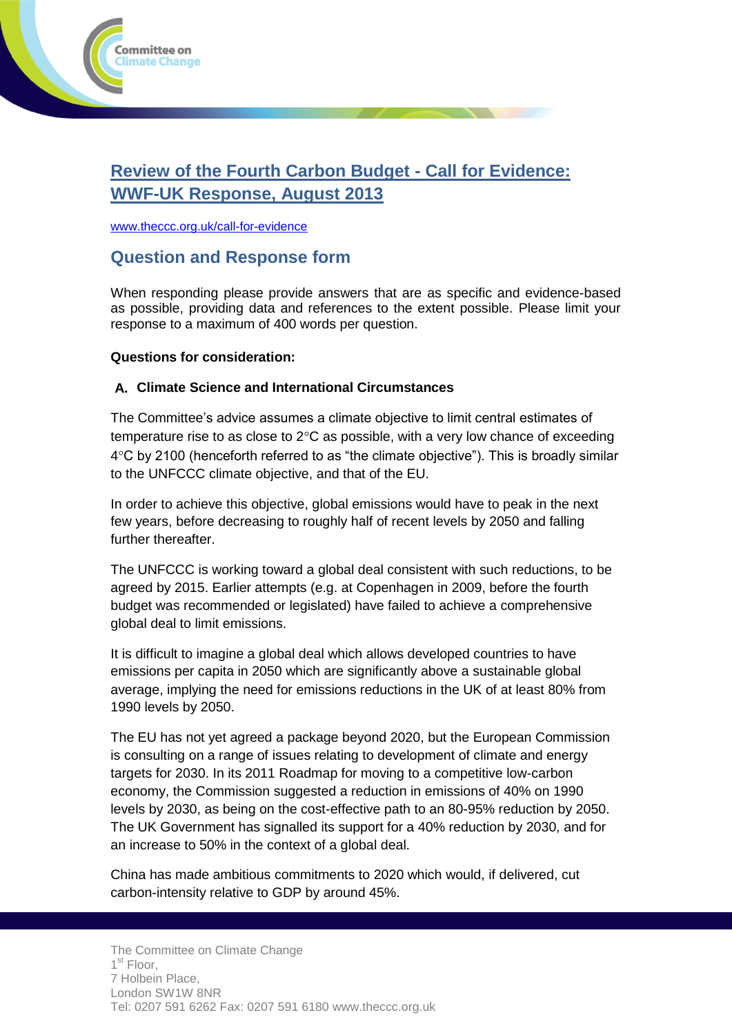

# **Review of the Fourth Carbon Budget - Call for Evidence: WWF-UK Response, August 2013**

[www.theccc.org.uk/call-for-evidence](http://www.theccc.org.uk/call-for-evidence)

# **Question and Response form**

When responding please provide answers that are as specific and evidence-based as possible, providing data and references to the extent possible. Please limit your response to a maximum of 400 words per question.

### **Questions for consideration:**

### **A. Climate Science and International Circumstances**

The Committee's advice assumes a climate objective to limit central estimates of temperature rise to as close to  $2^{\circ}$ C as possible, with a very low chance of exceeding 4C by 2100 (henceforth referred to as "the climate objective"). This is broadly similar to the UNFCCC climate objective, and that of the EU.

In order to achieve this objective, global emissions would have to peak in the next few years, before decreasing to roughly half of recent levels by 2050 and falling further thereafter.

The UNFCCC is working toward a global deal consistent with such reductions, to be agreed by 2015. Earlier attempts (e.g. at Copenhagen in 2009, before the fourth budget was recommended or legislated) have failed to achieve a comprehensive global deal to limit emissions.

It is difficult to imagine a global deal which allows developed countries to have emissions per capita in 2050 which are significantly above a sustainable global average, implying the need for emissions reductions in the UK of at least 80% from 1990 levels by 2050.

The EU has not yet agreed a package beyond 2020, but the European Commission is consulting on a range of issues relating to development of climate and energy targets for 2030. In its 2011 Roadmap for moving to a competitive low-carbon economy, the Commission suggested a reduction in emissions of 40% on 1990 levels by 2030, as being on the cost-effective path to an 80-95% reduction by 2050. The UK Government has signalled its support for a 40% reduction by 2030, and for an increase to 50% in the context of a global deal.

China has made ambitious commitments to 2020 which would, if delivered, cut carbon-intensity relative to GDP by around 45%.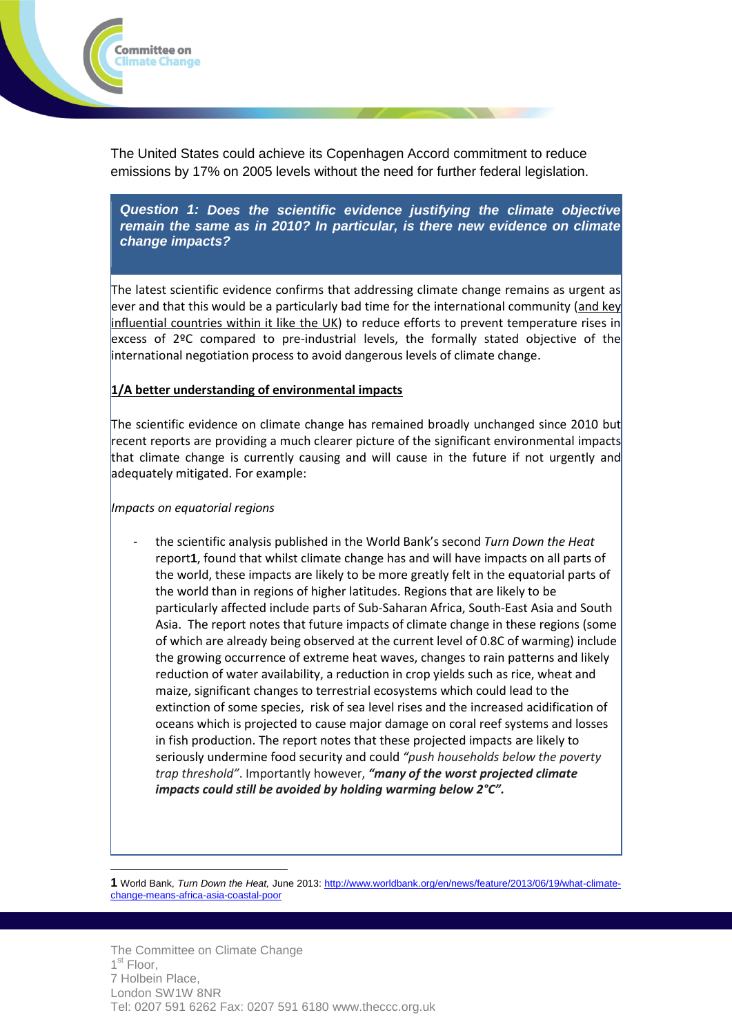

The United States could achieve its Copenhagen Accord commitment to reduce emissions by 17% on 2005 levels without the need for further federal legislation.

*Question 1: Does the scientific evidence justifying the climate objective remain the same as in 2010? In particular, is there new evidence on climate change impacts?*

The latest scientific evidence confirms that addressing climate change remains as urgent as ever and that this would be a particularly bad time for the international community (and key influential countries within it like the UK) to reduce efforts to prevent temperature rises in excess of 2ºC compared to pre-industrial levels, the formally stated objective of the international negotiation process to avoid dangerous levels of climate change.

#### **1/A better understanding of environmental impacts**

The scientific evidence on climate change has remained broadly unchanged since 2010 but recent reports are providing a much clearer picture of the significant environmental impacts that climate change is currently causing and will cause in the future if not urgently and adequately mitigated. For example:

#### *Impacts on equatorial regions*

- the scientific analysis published in the World Bank's second *Turn Down the Heat* report**1**, found that whilst climate change has and will have impacts on all parts of the world, these impacts are likely to be more greatly felt in the equatorial parts of the world than in regions of higher latitudes. Regions that are likely to be particularly affected include parts of Sub-Saharan Africa, South-East Asia and South Asia. The report notes that future impacts of climate change in these regions (some of which are already being observed at the current level of 0.8C of warming) include the growing occurrence of extreme heat waves, changes to rain patterns and likely reduction of water availability, a reduction in crop yields such as rice, wheat and maize, significant changes to terrestrial ecosystems which could lead to the extinction of some species, risk of sea level rises and the increased acidification of oceans which is projected to cause major damage on coral reef systems and losses in fish production. The report notes that these projected impacts are likely to seriously undermine food security and could *"push households below the poverty trap threshold"*. Importantly however, *"many of the worst projected climate impacts could still be avoided by holding warming below 2°C".*

 $\overline{a}$ **1** World Bank, *Turn Down the Heat,* June 2013: [http://www.worldbank.org/en/news/feature/2013/06/19/what-climate](http://www.worldbank.org/en/news/feature/2013/06/19/what-climate-change-means-africa-asia-coastal-poor)[change-means-africa-asia-coastal-poor](http://www.worldbank.org/en/news/feature/2013/06/19/what-climate-change-means-africa-asia-coastal-poor)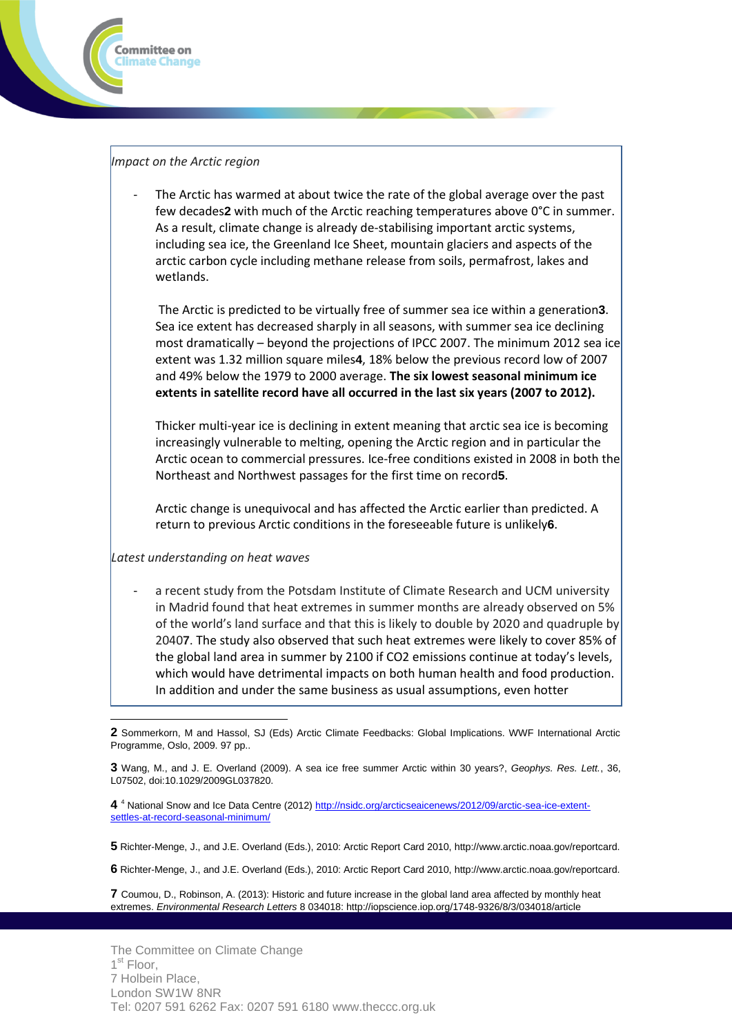

### *Impact on the Arctic region*

The Arctic has warmed at about twice the rate of the global average over the past few decades**2** with much of the Arctic reaching temperatures above 0°C in summer. As a result, climate change is already de-stabilising important arctic systems, including sea ice, the Greenland Ice Sheet, mountain glaciers and aspects of the arctic carbon cycle including methane release from soils, permafrost, lakes and wetlands.

The Arctic is predicted to be virtually free of summer sea ice within a generation**3**. Sea ice extent has decreased sharply in all seasons, with summer sea ice declining most dramatically – beyond the projections of IPCC 2007. The minimum 2012 sea ice extent was 1.32 million square miles**4**, 18% below the previous record low of 2007 and 49% below the 1979 to 2000 average. **The six lowest seasonal minimum ice extents in satellite record have all occurred in the last six years (2007 to 2012).**

Thicker multi-year ice is declining in extent meaning that arctic sea ice is becoming increasingly vulnerable to melting, opening the Arctic region and in particular the Arctic ocean to commercial pressures. Ice-free conditions existed in 2008 in both the Northeast and Northwest passages for the first time on record**5**.

Arctic change is unequivocal and has affected the Arctic earlier than predicted. A return to previous Arctic conditions in the foreseeable future is unlikely**6**.

*Latest understanding on heat waves*

a recent study from the Potsdam Institute of Climate Research and UCM university in Madrid found that heat extremes in summer months are already observed on 5% of the world's land surface and that this is likely to double by 2020 and quadruple by 2040**7**. The study also observed that such heat extremes were likely to cover 85% of the global land area in summer by 2100 if CO2 emissions continue at today's levels, which would have detrimental impacts on both human health and food production. In addition and under the same business as usual assumptions, even hotter

**4** <sup>4</sup> National Snow and Ice Data Centre (2012[\) http://nsidc.org/arcticseaicenews/2012/09/arctic-sea-ice-extent](http://nsidc.org/arcticseaicenews/2012/09/arctic-sea-ice-extent-settles-at-record-seasonal-minimum/)[settles-at-record-seasonal-minimum/](http://nsidc.org/arcticseaicenews/2012/09/arctic-sea-ice-extent-settles-at-record-seasonal-minimum/)

**5** Richter-Menge, J., and J.E. Overland (Eds.), 2010: Arctic Report Card 2010, http://www.arctic.noaa.gov/reportcard.

**6** Richter-Menge, J., and J.E. Overland (Eds.), 2010: Arctic Report Card 2010, http://www.arctic.noaa.gov/reportcard.

**7** Coumou, D., Robinson, A. (2013): Historic and future increase in the global land area affected by monthly heat extremes. *Environmental Research Letters* 8 034018: http://iopscience.iop.org/1748-9326/8/3/034018/article

 $\overline{a}$ **2** Sommerkorn, M and Hassol, SJ (Eds) Arctic Climate Feedbacks: Global Implications. WWF International Arctic Programme, Oslo, 2009. 97 pp..

**<sup>3</sup>** Wang, M., and J. E. Overland (2009). A sea ice free summer Arctic within 30 years?, *Geophys. Res. Lett.*, 36, L07502, doi:10.1029/2009GL037820.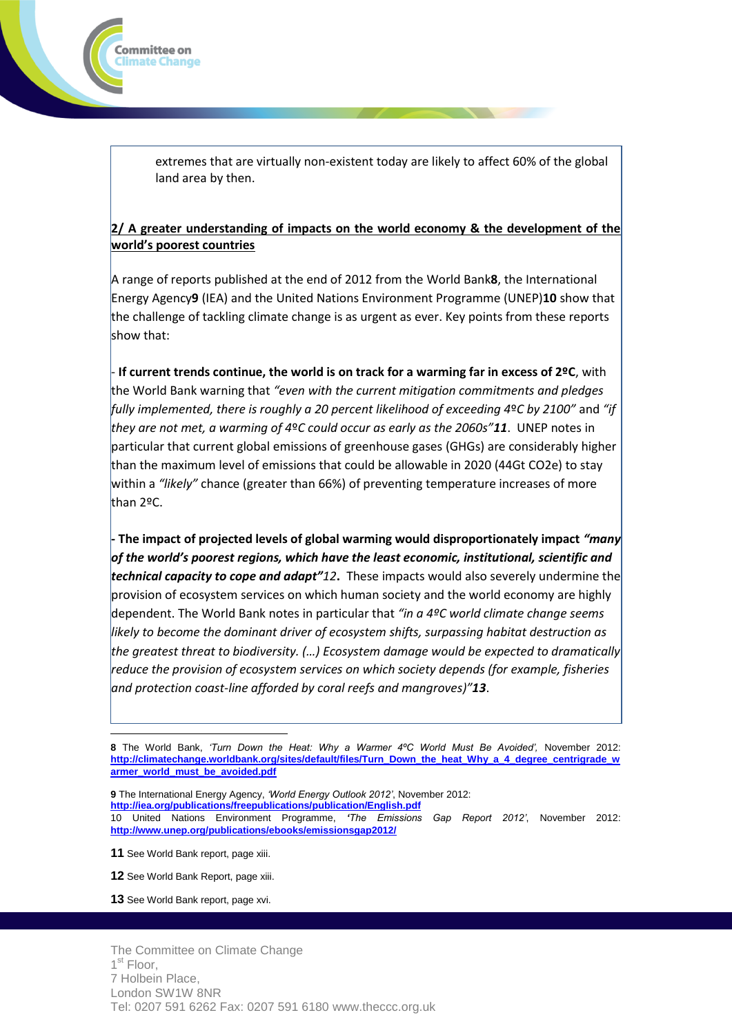extremes that are virtually non-existent today are likely to affect 60% of the global land area by then.

#### **2/ A greater understanding of impacts on the world economy & the development of the world's poorest countries**

A range of reports published at the end of 2012 from the World Bank**8**, the International Energy Agency**9** (IEA) and the United Nations Environment Programme (UNEP)**10** show that the challenge of tackling climate change is as urgent as ever. Key points from these reports show that:

 - **If current trends continue, the world is on track for a warming far in excess of 2ºC**, with the World Bank warning that *"even with the current mitigation commitments and pledges fully implemented, there is roughly a 20 percent likelihood of exceeding 4*º*C by 2100"* and *"if they are not met, a warming of 4*º*C could occur as early as the 2060s"11*. UNEP notes in particular that current global emissions of greenhouse gases (GHGs) are considerably higher than the maximum level of emissions that could be allowable in 2020 (44Gt CO2e) to stay within a *"likely"* chance (greater than 66%) of preventing temperature increases of more than 2ºC.

 **- The impact of projected levels of global warming would disproportionately impact** *"many of the world's poorest regions, which have the least economic, institutional, scientific and technical capacity to cope and adapt"12***.** These impacts would also severely undermine the provision of ecosystem services on which human society and the world economy are highly dependent. The World Bank notes in particular that *"in a 4ºC world climate change seems likely to become the dominant driver of ecosystem shifts, surpassing habitat destruction as the greatest threat to biodiversity. (…) Ecosystem damage would be expected to dramatically reduce the provision of ecosystem services on which society depends (for example, fisheries and protection coast-line afforded by coral reefs and mangroves)"13*.

**9** The International Energy Agency, *'World Energy Outlook 2012'*, November 2012: **<http://iea.org/publications/freepublications/publication/English.pdf>** 10 United Nations Environment Programme, *'The Emissions Gap Report 2012'*, November 2012: **<http://www.unep.org/publications/ebooks/emissionsgap2012/>**

**11** See World Bank report, page xiii.

 $\overline{a}$ 

Committee on limate Change!

- **12** See World Bank Report, page xiii.
- **13** See World Bank report, page xvi.

**<sup>8</sup>** The World Bank, *'Turn Down the Heat: Why a Warmer 4ºC World Must Be Avoided',* November 2012: **[http://climatechange.worldbank.org/sites/default/files/Turn\\_Down\\_the\\_heat\\_Why\\_a\\_4\\_degree\\_centrigrade\\_w](http://climatechange.worldbank.org/sites/default/files/Turn_Down_the_heat_Why_a_4_degree_centrigrade_warmer_world_must_be_avoided.pdf) [armer\\_world\\_must\\_be\\_avoided.pdf](http://climatechange.worldbank.org/sites/default/files/Turn_Down_the_heat_Why_a_4_degree_centrigrade_warmer_world_must_be_avoided.pdf)**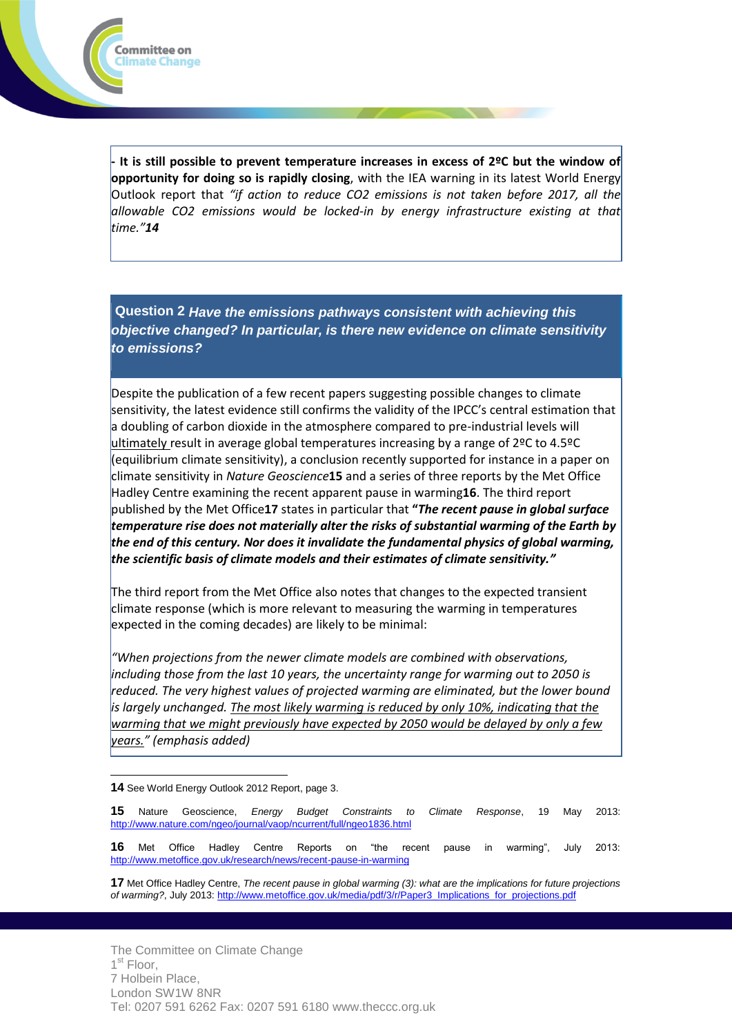

**Question 2** *Have the emissions pathways consistent with achieving this objective changed? In particular, is there new evidence on climate sensitivity to emissions?*

Despite the publication of a few recent papers suggesting possible changes to climate sensitivity, the latest evidence still confirms the validity of the IPCC's central estimation that a doubling of carbon dioxide in the atmosphere compared to pre-industrial levels will ultimately result in average global temperatures increasing by a range of 2ºC to 4.5ºC (equilibrium climate sensitivity), a conclusion recently supported for instance in a paper on climate sensitivity in *Nature Geoscience***15** and a series of three reports by the Met Office Hadley Centre examining the recent apparent pause in warming**16**. The third report published by the Met Office**17** states in particular that **"***The recent pause in global surface temperature rise does not materially alter the risks of substantial warming of the Earth by the end of this century. Nor does it invalidate the fundamental physics of global warming, the scientific basis of climate models and their estimates of climate sensitivity."*

The third report from the Met Office also notes that changes to the expected transient climate response (which is more relevant to measuring the warming in temperatures expected in the coming decades) are likely to be minimal:

*"When projections from the newer climate models are combined with observations, including those from the last 10 years, the uncertainty range for warming out to 2050 is reduced. The very highest values of projected warming are eliminated, but the lower bound is largely unchanged. The most likely warming is reduced by only 10%, indicating that the warming that we might previously have expected by 2050 would be delayed by only a few years." (emphasis added)*

 $\overline{a}$ **14** See World Energy Outlook 2012 Report, page 3.

Committee on Iimate Change:

**15** Nature Geoscience, *Energy Budget Constraints to Climate Response*, 19 May 2013: <http://www.nature.com/ngeo/journal/vaop/ncurrent/full/ngeo1836.html>

**16** Met Office Hadley Centre Reports on "the recent pause in warming", July 2013: <http://www.metoffice.gov.uk/research/news/recent-pause-in-warming>

**17** Met Office Hadley Centre, *The recent pause in global warming (3): what are the implications for future projections*  of warming?, July 2013: [http://www.metoffice.gov.uk/media/pdf/3/r/Paper3\\_Implications\\_for\\_projections.pdf](http://www.metoffice.gov.uk/media/pdf/3/r/Paper3_Implications_for_projections.pdf)

The Committee on Climate Change 1<sup>st</sup> Floor, 7 Holbein Place, London SW1W 8NR Tel: 0207 591 6262 Fax: 0207 591 6180 www.theccc.org.uk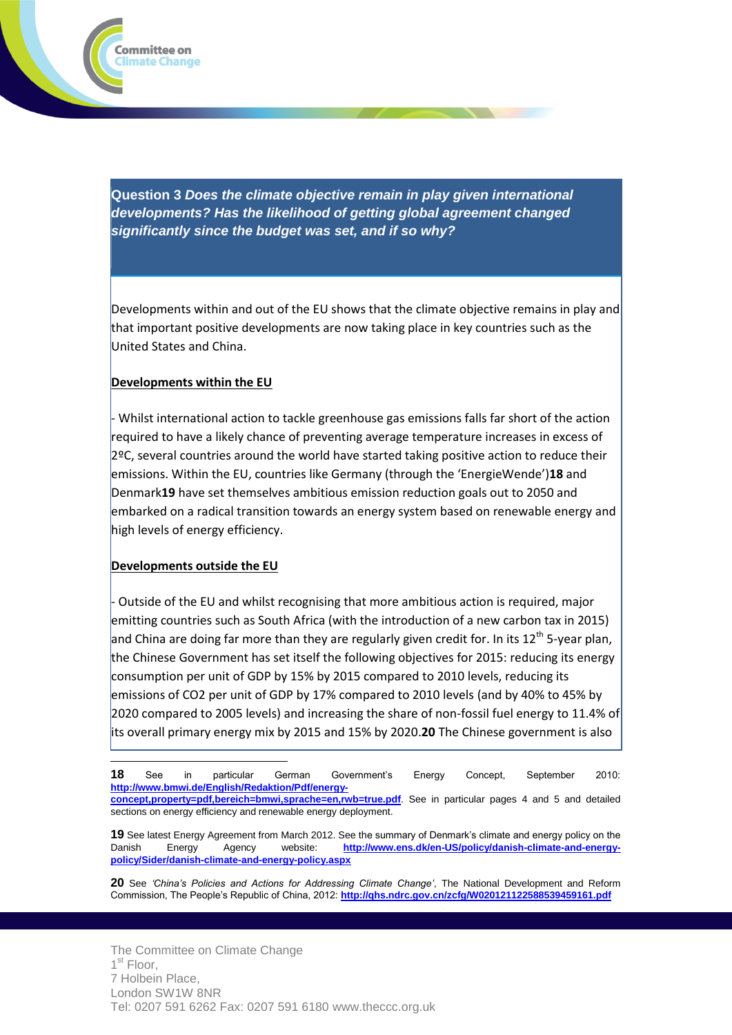

**Question 3** *Does the climate objective remain in play given international developments? Has the likelihood of getting global agreement changed significantly since the budget was set, and if so why?*

Developments within and out of the EU shows that the climate objective remains in play and that important positive developments are now taking place in key countries such as the United States and China.

### **Developments within the EU**

- Whilst international action to tackle greenhouse gas emissions falls far short of the action required to have a likely chance of preventing average temperature increases in excess of 2ºC, several countries around the world have started taking positive action to reduce their emissions. Within the EU, countries like Germany (through the 'EnergieWende')**18** and Denmark**19** have set themselves ambitious emission reduction goals out to 2050 and embarked on a radical transition towards an energy system based on renewable energy and high levels of energy efficiency.

#### **Developments outside the EU**

 $\overline{a}$ 

- Outside of the EU and whilst recognising that more ambitious action is required, major emitting countries such as South Africa (with the introduction of a new carbon tax in 2015) and China are doing far more than they are regularly given credit for. In its  $12^{th}$  5-year plan, the Chinese Government has set itself the following objectives for 2015: reducing its energy consumption per unit of GDP by 15% by 2015 compared to 2010 levels, reducing its emissions of CO2 per unit of GDP by 17% compared to 2010 levels (and by 40% to 45% by 2020 compared to 2005 levels) and increasing the share of non-fossil fuel energy to 11.4% of its overall primary energy mix by 2015 and 15% by 2020.**20** The Chinese government is also

**20** See *'China's Policies and Actions for Addressing Climate Change'*, The National Development and Reform Commission, The People's Republic of China, 2012: **<http://qhs.ndrc.gov.cn/zcfg/W020121122588539459161.pdf>**

**<sup>18</sup>** See in particular German Government's Energy Concept, September 2010: **[http://www.bmwi.de/English/Redaktion/Pdf/energy](http://www.bmwi.de/English/Redaktion/Pdf/energy-concept,property=pdf,bereich=bmwi,sprache=en,rwb=true.pdf)[concept,property=pdf,bereich=bmwi,sprache=en,rwb=true.pdf](http://www.bmwi.de/English/Redaktion/Pdf/energy-concept,property=pdf,bereich=bmwi,sprache=en,rwb=true.pdf)**. See in particular pages 4 and 5 and detailed sections on energy efficiency and renewable energy deployment.

**<sup>19</sup>** See latest Energy Agreement from March 2012. See the summary of Denmark's climate and energy policy on the Danish Energy Agency website: **[http://www.ens.dk/en-US/policy/danish-climate-and-energy](http://www.ens.dk/en-US/policy/danish-climate-and-energy-policy/Sider/danish-climate-and-energy-policy.aspx)[policy/Sider/danish-climate-and-energy-policy.aspx](http://www.ens.dk/en-US/policy/danish-climate-and-energy-policy/Sider/danish-climate-and-energy-policy.aspx)**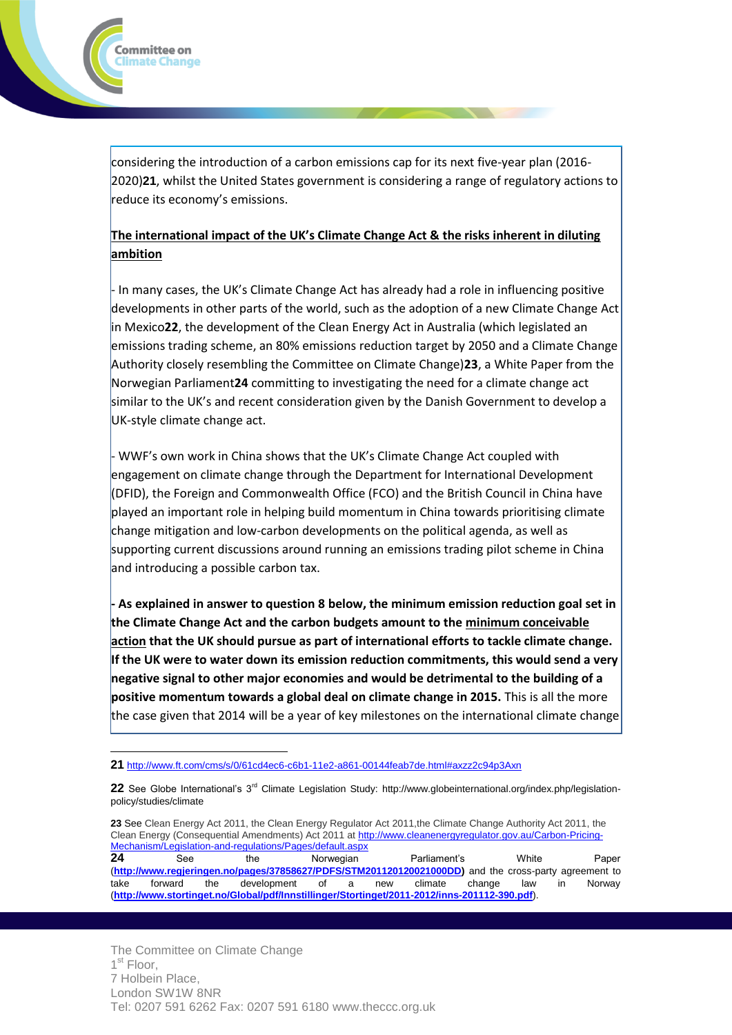considering the introduction of a carbon emissions cap for its next five-year plan (2016- 2020)**21**, whilst the United States government is considering a range of regulatory actions to reduce its economy's emissions.

### **The international impact of the UK's Climate Change Act & the risks inherent in diluting ambition**

- In many cases, the UK's Climate Change Act has already had a role in influencing positive developments in other parts of the world, such as the adoption of a new Climate Change Act in Mexico**22**, the development of the Clean Energy Act in Australia (which legislated an emissions trading scheme, an 80% emissions reduction target by 2050 and a Climate Change Authority closely resembling the Committee on Climate Change)**23**, a White Paper from the Norwegian Parliament**24** committing to investigating the need for a climate change act similar to the UK's and recent consideration given by the Danish Government to develop a UK-style climate change act.

- WWF's own work in China shows that the UK's Climate Change Act coupled with engagement on climate change through the Department for International Development (DFID), the Foreign and Commonwealth Office (FCO) and the British Council in China have played an important role in helping build momentum in China towards prioritising climate change mitigation and low-carbon developments on the political agenda, as well as supporting current discussions around running an emissions trading pilot scheme in China and introducing a possible carbon tax.

**- As explained in answer to question 8 below, the minimum emission reduction goal set in the Climate Change Act and the carbon budgets amount to the minimum conceivable action that the UK should pursue as part of international efforts to tackle climate change. If the UK were to water down its emission reduction commitments, this would send a very negative signal to other major economies and would be detrimental to the building of a positive momentum towards a global deal on climate change in 2015.** This is all the more the case given that 2014 will be a year of key milestones on the international climate change

**23** See Clean Energy Act 2011, the Clean Energy Regulator Act 2011,the Climate Change Authority Act 2011, the Clean Energy (Consequential Amendments) Act 2011 a[t http://www.cleanenergyregulator.gov.au/Carbon-Pricing-](http://www.cleanenergyregulator.gov.au/Carbon-Pricing-Mechanism/Legislation-and-regulations/Pages/default.aspx)[Mechanism/Legislation-and-regulations/Pages/default.aspx](http://www.cleanenergyregulator.gov.au/Carbon-Pricing-Mechanism/Legislation-and-regulations/Pages/default.aspx) **24** See the Norwegian Parliament's White Paper

(**[http://www.regjeringen.no/pages/37858627/PDFS/STM201120120021000DD\)](http://www.regjeringen.no/pages/37858627/PDFS/STM201120120021000DD)** and the cross-party agreement to take forward the development of a new climate change law in Norway (**<http://www.stortinget.no/Global/pdf/Innstillinger/Stortinget/2011-2012/inns-201112-390.pdf>**).

 $\overline{a}$ 

Committee on Iimate Change:

**<sup>21</sup>** <http://www.ft.com/cms/s/0/61cd4ec6-c6b1-11e2-a861-00144feab7de.html#axzz2c94p3Axn>

**<sup>22</sup>** See Globe International's 3rd Climate Legislation Study: http://www.globeinternational.org/index.php/legislationpolicy/studies/climate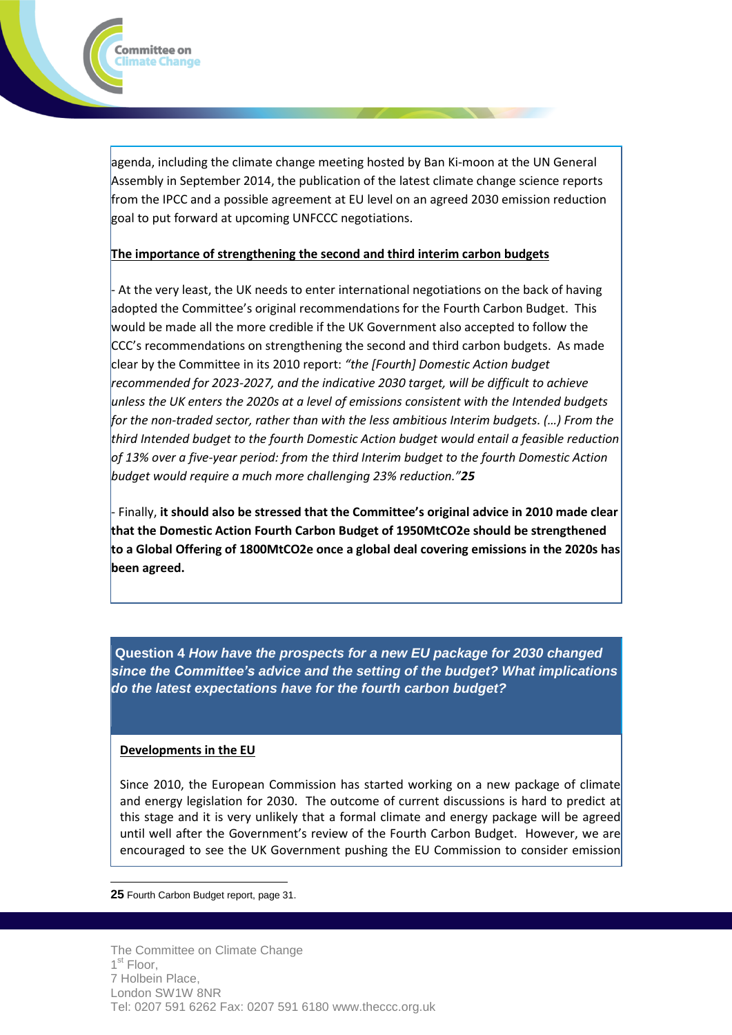

#### **The importance of strengthening the second and third interim carbon budgets**

- At the very least, the UK needs to enter international negotiations on the back of having adopted the Committee's original recommendations for the Fourth Carbon Budget. This would be made all the more credible if the UK Government also accepted to follow the CCC's recommendations on strengthening the second and third carbon budgets. As made clear by the Committee in its 2010 report: *"the [Fourth] Domestic Action budget recommended for 2023-2027, and the indicative 2030 target, will be difficult to achieve unless the UK enters the 2020s at a level of emissions consistent with the Intended budgets for the non-traded sector, rather than with the less ambitious Interim budgets. (…) From the third Intended budget to the fourth Domestic Action budget would entail a feasible reduction of 13% over a five-year period: from the third Interim budget to the fourth Domestic Action budget would require a much more challenging 23% reduction."25*

- Finally, **it should also be stressed that the Committee's original advice in 2010 made clear that the Domestic Action Fourth Carbon Budget of 1950MtCO2e should be strengthened to a Global Offering of 1800MtCO2e once a global deal covering emissions in the 2020s has been agreed.**

**Question 4** *How have the prospects for a new EU package for 2030 changed since the Committee's advice and the setting of the budget? What implications do the latest expectations have for the fourth carbon budget?*

#### **Developments in the EU**

Committee on limate Change.

Since 2010, the European Commission has started working on a new package of climate and energy legislation for 2030. The outcome of current discussions is hard to predict at this stage and it is very unlikely that a formal climate and energy package will be agreed until well after the Government's review of the Fourth Carbon Budget. However, we are encouraged to see the UK Government pushing the EU Commission to consider emission

 $\overline{a}$ **25** Fourth Carbon Budget report, page 31.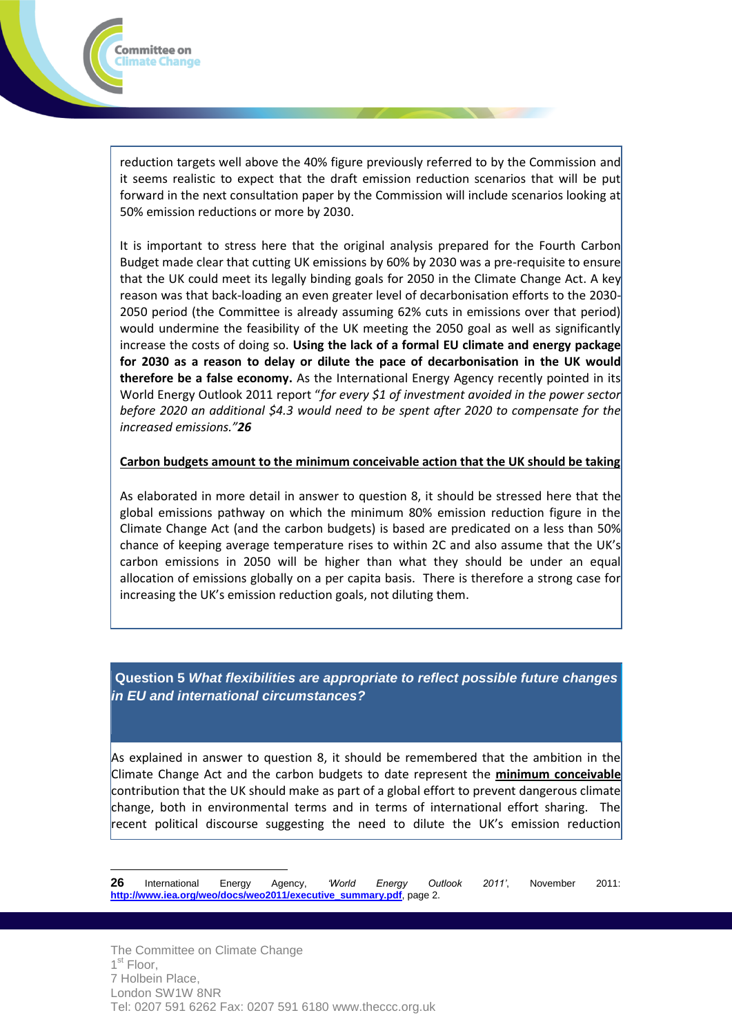

reduction targets well above the 40% figure previously referred to by the Commission and it seems realistic to expect that the draft emission reduction scenarios that will be put forward in the next consultation paper by the Commission will include scenarios looking at 50% emission reductions or more by 2030.

It is important to stress here that the original analysis prepared for the Fourth Carbon Budget made clear that cutting UK emissions by 60% by 2030 was a pre-requisite to ensure that the UK could meet its legally binding goals for 2050 in the Climate Change Act. A key reason was that back-loading an even greater level of decarbonisation efforts to the 2030- 2050 period (the Committee is already assuming 62% cuts in emissions over that period) would undermine the feasibility of the UK meeting the 2050 goal as well as significantly increase the costs of doing so. **Using the lack of a formal EU climate and energy package for 2030 as a reason to delay or dilute the pace of decarbonisation in the UK would therefore be a false economy.** As the International Energy Agency recently pointed in its World Energy Outlook 2011 report "*for every \$1 of investment avoided in the power sector before 2020 an additional \$4.3 would need to be spent after 2020 to compensate for the increased emissions."26*

### **Carbon budgets amount to the minimum conceivable action that the UK should be taking**

As elaborated in more detail in answer to question 8, it should be stressed here that the global emissions pathway on which the minimum 80% emission reduction figure in the Climate Change Act (and the carbon budgets) is based are predicated on a less than 50% chance of keeping average temperature rises to within 2C and also assume that the UK's carbon emissions in 2050 will be higher than what they should be under an equal allocation of emissions globally on a per capita basis. There is therefore a strong case for increasing the UK's emission reduction goals, not diluting them.

**Question 5** *What flexibilities are appropriate to reflect possible future changes in EU and international circumstances?*

As explained in answer to question 8, it should be remembered that the ambition in the Climate Change Act and the carbon budgets to date represent the **minimum conceivable** contribution that the UK should make as part of a global effort to prevent dangerous climate change, both in environmental terms and in terms of international effort sharing. The recent political discourse suggesting the need to dilute the UK's emission reduction

 $\overline{a}$ **26** International Energy Agency, *'World Energy Outlook 2011'*, November 2011: **[http://www.iea.org/weo/docs/weo2011/executive\\_summary.pdf](http://www.iea.org/weo/docs/weo2011/executive_summary.pdf)**, page 2.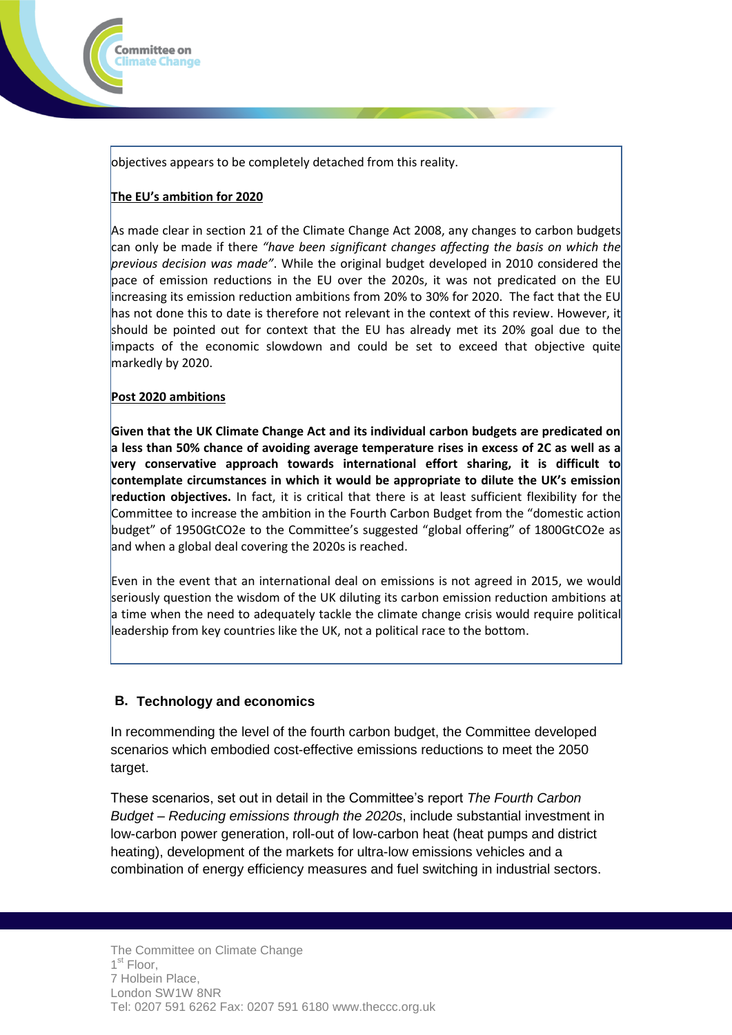

### **The EU's ambition for 2020**

Committee on limate Change

As made clear in section 21 of the Climate Change Act 2008, any changes to carbon budgets can only be made if there *"have been significant changes affecting the basis on which the previous decision was made"*. While the original budget developed in 2010 considered the pace of emission reductions in the EU over the 2020s, it was not predicated on the EU increasing its emission reduction ambitions from 20% to 30% for 2020. The fact that the EU has not done this to date is therefore not relevant in the context of this review. However, it should be pointed out for context that the EU has already met its 20% goal due to the impacts of the economic slowdown and could be set to exceed that objective quite markedly by 2020.

### **Post 2020 ambitions**

**Given that the UK Climate Change Act and its individual carbon budgets are predicated on a less than 50% chance of avoiding average temperature rises in excess of 2C as well as a very conservative approach towards international effort sharing, it is difficult to contemplate circumstances in which it would be appropriate to dilute the UK's emission reduction objectives.** In fact, it is critical that there is at least sufficient flexibility for the Committee to increase the ambition in the Fourth Carbon Budget from the "domestic action budget" of 1950GtCO2e to the Committee's suggested "global offering" of 1800GtCO2e as and when a global deal covering the 2020s is reached.

Even in the event that an international deal on emissions is not agreed in 2015, we would seriously question the wisdom of the UK diluting its carbon emission reduction ambitions at a time when the need to adequately tackle the climate change crisis would require political leadership from key countries like the UK, not a political race to the bottom.

### **B. Technology and economics**

In recommending the level of the fourth carbon budget, the Committee developed scenarios which embodied cost-effective emissions reductions to meet the 2050 target.

These scenarios, set out in detail in the Committee's report *The Fourth Carbon Budget – Reducing emissions through the 2020s*, include substantial investment in low-carbon power generation, roll-out of low-carbon heat (heat pumps and district heating), development of the markets for ultra-low emissions vehicles and a combination of energy efficiency measures and fuel switching in industrial sectors.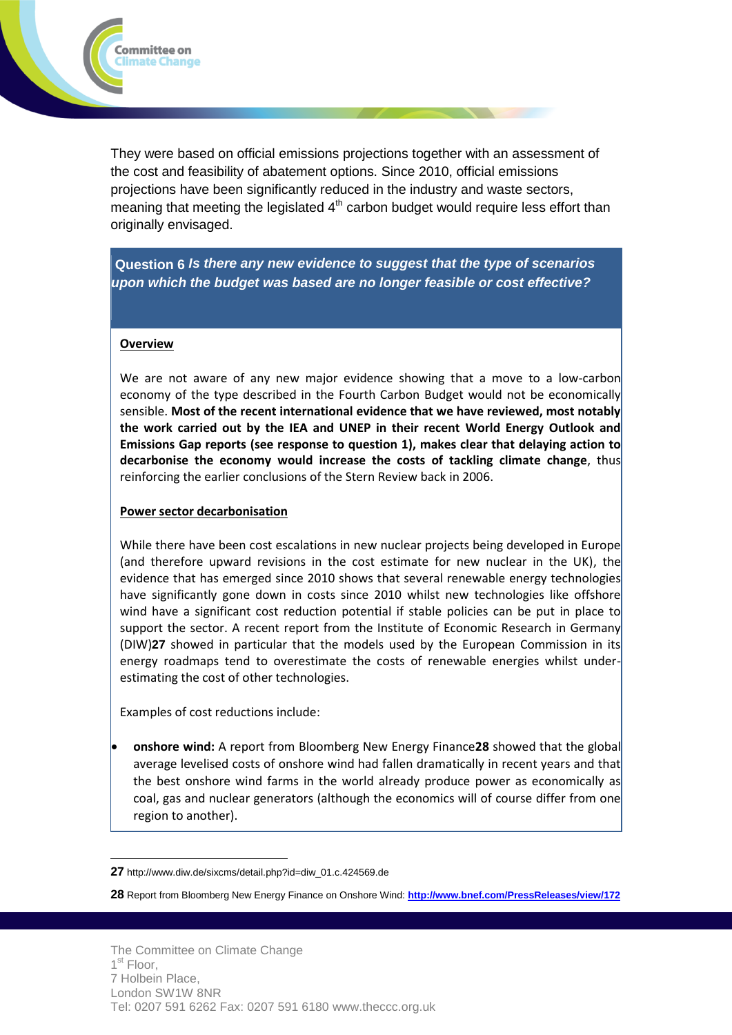

**Question 6** *Is there any new evidence to suggest that the type of scenarios upon which the budget was based are no longer feasible or cost effective?*

#### **Overview**

Committee on limate Change:

We are not aware of any new major evidence showing that a move to a low-carbon economy of the type described in the Fourth Carbon Budget would not be economically sensible. **Most of the recent international evidence that we have reviewed, most notably the work carried out by the IEA and UNEP in their recent World Energy Outlook and Emissions Gap reports (see response to question 1), makes clear that delaying action to decarbonise the economy would increase the costs of tackling climate change**, thus reinforcing the earlier conclusions of the Stern Review back in 2006.

#### **Power sector decarbonisation**

While there have been cost escalations in new nuclear projects being developed in Europe (and therefore upward revisions in the cost estimate for new nuclear in the UK), the evidence that has emerged since 2010 shows that several renewable energy technologies have significantly gone down in costs since 2010 whilst new technologies like offshore wind have a significant cost reduction potential if stable policies can be put in place to support the sector. A recent report from the Institute of Economic Research in Germany (DIW)**27** showed in particular that the models used by the European Commission in its energy roadmaps tend to overestimate the costs of renewable energies whilst underestimating the cost of other technologies.

Examples of cost reductions include:

 $\overline{a}$ 

 **onshore wind:** A report from Bloomberg New Energy Finance**28** showed that the global average levelised costs of onshore wind had fallen dramatically in recent years and that the best onshore wind farms in the world already produce power as economically as coal, gas and nuclear generators (although the economics will of course differ from one region to another).

**<sup>27</sup>** http://www.diw.de/sixcms/detail.php?id=diw\_01.c.424569.de

**<sup>28</sup>** Report from Bloomberg New Energy Finance on Onshore Wind: **<http://www.bnef.com/PressReleases/view/172>**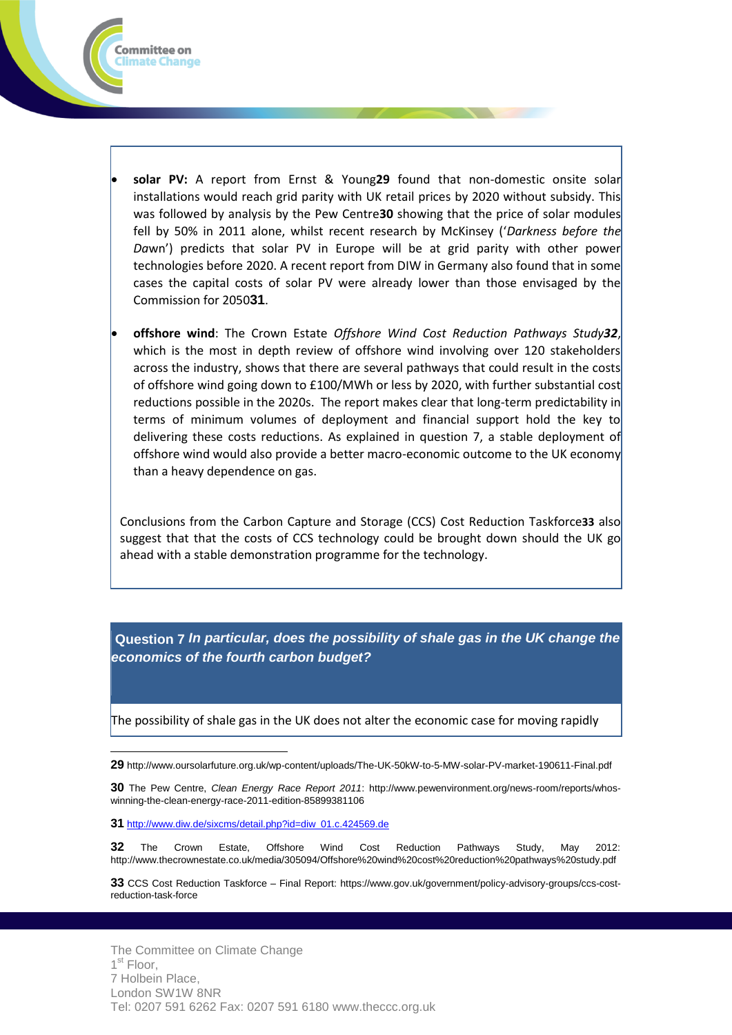

 **offshore wind**: The Crown Estate *Offshore Wind Cost Reduction Pathways Study32*, which is the most in depth review of offshore wind involving over 120 stakeholders across the industry, shows that there are several pathways that could result in the costs of offshore wind going down to £100/MWh or less by 2020, with further substantial cost reductions possible in the 2020s. The report makes clear that long-term predictability in terms of minimum volumes of deployment and financial support hold the key to delivering these costs reductions. As explained in question 7, a stable deployment of offshore wind would also provide a better macro-economic outcome to the UK economy than a heavy dependence on gas.

Conclusions from the Carbon Capture and Storage (CCS) Cost Reduction Taskforce**33** also suggest that that the costs of CCS technology could be brought down should the UK go ahead with a stable demonstration programme for the technology.

**Question 7** *In particular, does the possibility of shale gas in the UK change the economics of the fourth carbon budget?*

*Im* The possibility of shale gas in the UK does not alter the economic case for moving rapidly

**29** http://www.oursolarfuture.org.uk/wp-content/uploads/The-UK-50kW-to-5-MW-solar-PV-market-190611-Final.pdf

**30** The Pew Centre, *Clean Energy Race Report 2011*: http://www.pewenvironment.org/news-room/reports/whoswinning-the-clean-energy-race-2011-edition-85899381106

**31** [http://www.diw.de/sixcms/detail.php?id=diw\\_01.c.424569.de](http://www.diw.de/sixcms/detail.php?id=diw_01.c.424569.de)

 $\overline{a}$ 

Committee on limate Change

**32** The Crown Estate, Offshore Wind Cost Reduction Pathways Study, May 2012: http://www.thecrownestate.co.uk/media/305094/Offshore%20wind%20cost%20reduction%20pathways%20study.pdf

**33** CCS Cost Reduction Taskforce – Final Report: https://www.gov.uk/government/policy-advisory-groups/ccs-costreduction-task-force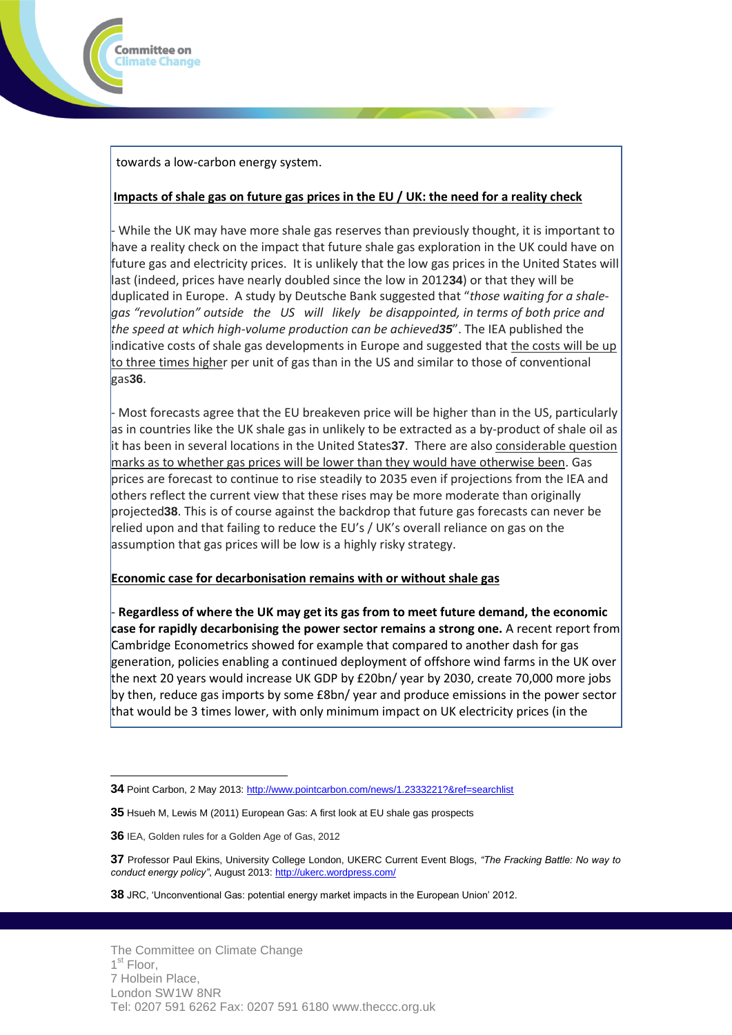

towards a low-carbon energy system.

### **Impacts of shale gas on future gas prices in the EU / UK: the need for a reality check**

- While the UK may have more shale gas reserves than previously thought, it is important to have a reality check on the impact that future shale gas exploration in the UK could have on future gas and electricity prices. It is unlikely that the low gas prices in the United States will last (indeed, prices have nearly doubled since the low in 2012**34**) or that they will be duplicated in Europe. A study by Deutsche Bank suggested that "*those waiting for a shalegas "revolution" outside the US will likely be disappointed, in terms of both price and the speed at which high-volume production can be achieved35*". The IEA published the indicative costs of shale gas developments in Europe and suggested that the costs will be up to three times higher per unit of gas than in the US and similar to those of conventional gas**36**.

- Most forecasts agree that the EU breakeven price will be higher than in the US, particularly as in countries like the UK shale gas in unlikely to be extracted as a by-product of shale oil as it has been in several locations in the United States**37**. There are also considerable question marks as to whether gas prices will be lower than they would have otherwise been. Gas prices are forecast to continue to rise steadily to 2035 even if projections from the IEA and others reflect the current view that these rises may be more moderate than originally projected**38**. This is of course against the backdrop that future gas forecasts can never be relied upon and that failing to reduce the EU's / UK's overall reliance on gas on the assumption that gas prices will be low is a highly risky strategy.

# **Economic case for decarbonisation remains with or without shale gas**

- **Regardless of where the UK may get its gas from to meet future demand, the economic case for rapidly decarbonising the power sector remains a strong one.** A recent report from Cambridge Econometrics showed for example that compared to another dash for gas generation, policies enabling a continued deployment of offshore wind farms in the UK over the next 20 years would increase UK GDP by £20bn/ year by 2030, create 70,000 more jobs by then, reduce gas imports by some £8bn/ year and produce emissions in the power sector that would be 3 times lower, with only minimum impact on UK electricity prices (in the

**36** IEA, Golden rules for a Golden Age of Gas, 2012

**37** Professor Paul Ekins, University College London, UKERC Current Event Blogs, *"The Fracking Battle: No way to conduct energy policy"*, August 2013:<http://ukerc.wordpress.com/>

**38** JRC, 'Unconventional Gas: potential energy market impacts in the European Union' 2012.

 $\overline{a}$ **34** Point Carbon, 2 May 2013[: http://www.pointcarbon.com/news/1.2333221?&ref=searchlist](http://www.pointcarbon.com/news/1.2333221?&ref=searchlist)

**<sup>35</sup>** Hsueh M, Lewis M (2011) European Gas: A first look at EU shale gas prospects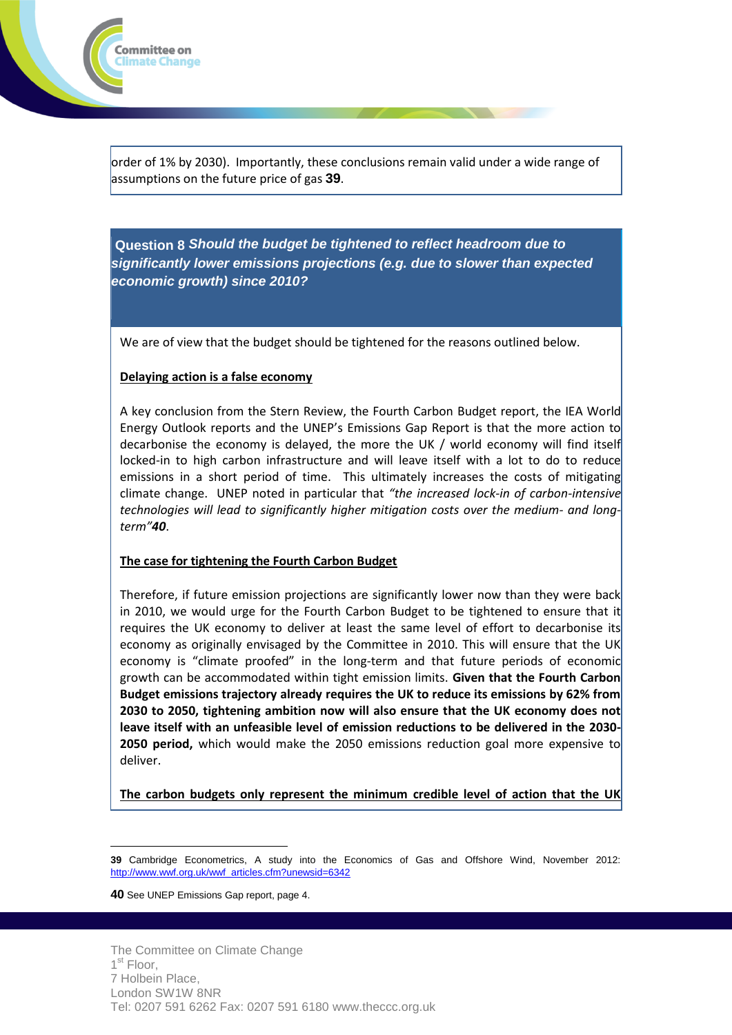

order of 1% by 2030). Importantly, these conclusions remain valid under a wide range of assumptions on the future price of gas **39**.

**Question 8** *Should the budget be tightened to reflect headroom due to significantly lower emissions projections (e.g. due to slower than expected economic growth) since 2010?*

We are of view that the budget should be tightened for the reasons outlined below.

### **Delaying action is a false economy**

A key conclusion from the Stern Review, the Fourth Carbon Budget report, the IEA World Energy Outlook reports and the UNEP's Emissions Gap Report is that the more action to decarbonise the economy is delayed, the more the UK / world economy will find itself locked-in to high carbon infrastructure and will leave itself with a lot to do to reduce emissions in a short period of time. This ultimately increases the costs of mitigating climate change. UNEP noted in particular that *"the increased lock-in of carbon-intensive technologies will lead to significantly higher mitigation costs over the medium- and longterm"40*.

# **The case for tightening the Fourth Carbon Budget**

Therefore, if future emission projections are significantly lower now than they were back in 2010, we would urge for the Fourth Carbon Budget to be tightened to ensure that it requires the UK economy to deliver at least the same level of effort to decarbonise its economy as originally envisaged by the Committee in 2010. This will ensure that the UK economy is "climate proofed" in the long-term and that future periods of economic growth can be accommodated within tight emission limits. **Given that the Fourth Carbon Budget emissions trajectory already requires the UK to reduce its emissions by 62% from 2030 to 2050, tightening ambition now will also ensure that the UK economy does not leave itself with an unfeasible level of emission reductions to be delivered in the 2030- 2050 period,** which would make the 2050 emissions reduction goal more expensive to deliver.

**The carbon budgets only represent the minimum credible level of action that the UK** 

**40** See UNEP Emissions Gap report, page 4.

 $\overline{a}$ **39** Cambridge Econometrics, A study into the Economics of Gas and Offshore Wind, November 2012: [http://www.wwf.org.uk/wwf\\_articles.cfm?unewsid=6342](http://www.wwf.org.uk/wwf_articles.cfm?unewsid=6342)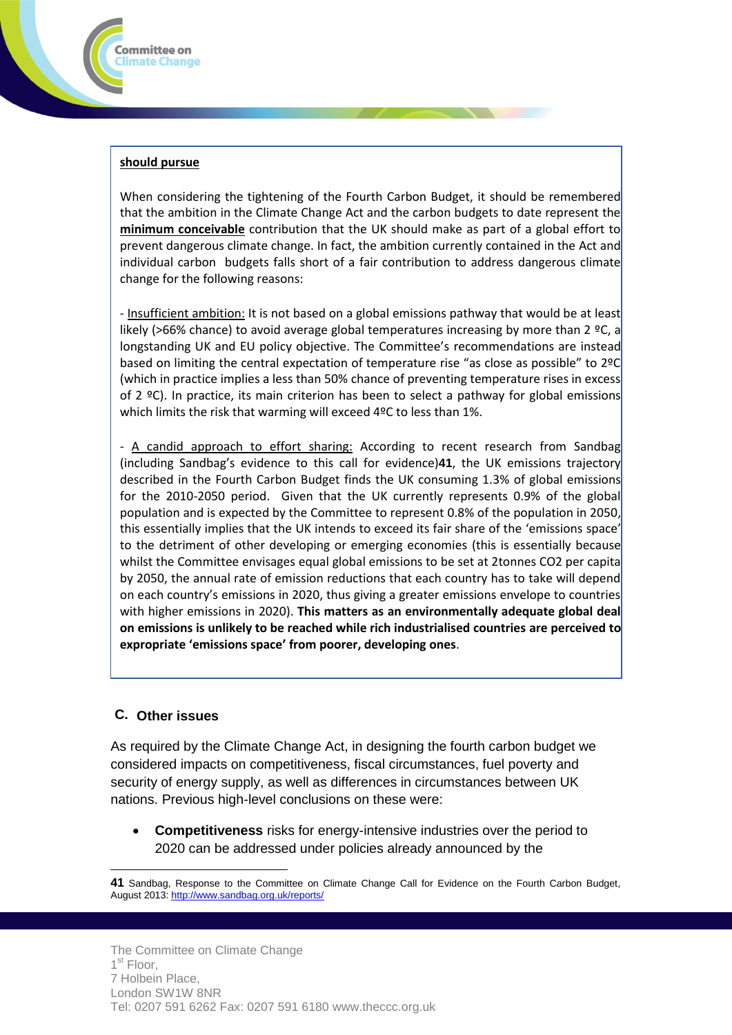

Committee on Iimate Change:

When considering the tightening of the Fourth Carbon Budget, it should be remembered that the ambition in the Climate Change Act and the carbon budgets to date represent the **minimum conceivable** contribution that the UK should make as part of a global effort to prevent dangerous climate change. In fact, the ambition currently contained in the Act and individual carbon budgets falls short of a fair contribution to address dangerous climate change for the following reasons:

- Insufficient ambition: It is not based on a global emissions pathway that would be at least likely (>66% chance) to avoid average global temperatures increasing by more than 2  $°C$ , a longstanding UK and EU policy objective. The Committee's recommendations are instead based on limiting the central expectation of temperature rise "as close as possible" to 2ºC (which in practice implies a less than 50% chance of preventing temperature rises in excess of 2  $°C$ ). In practice, its main criterion has been to select a pathway for global emissions which limits the risk that warming will exceed 4ºC to less than 1%.

- A candid approach to effort sharing: According to recent research from Sandbag (including Sandbag's evidence to this call for evidence)**41**, the UK emissions trajectory described in the Fourth Carbon Budget finds the UK consuming 1.3% of global emissions for the 2010-2050 period. Given that the UK currently represents 0.9% of the global population and is expected by the Committee to represent 0.8% of the population in 2050, this essentially implies that the UK intends to exceed its fair share of the 'emissions space' to the detriment of other developing or emerging economies (this is essentially because whilst the Committee envisages equal global emissions to be set at 2tonnes CO2 per capita by 2050, the annual rate of emission reductions that each country has to take will depend on each country's emissions in 2020, thus giving a greater emissions envelope to countries with higher emissions in 2020). **This matters as an environmentally adequate global deal on emissions is unlikely to be reached while rich industrialised countries are perceived to expropriate 'emissions space' from poorer, developing ones**.

### **C. Other issues**

 $\overline{a}$ 

As required by the Climate Change Act, in designing the fourth carbon budget we considered impacts on competitiveness, fiscal circumstances, fuel poverty and security of energy supply, as well as differences in circumstances between UK nations. Previous high-level conclusions on these were:

 **Competitiveness** risks for energy-intensive industries over the period to 2020 can be addressed under policies already announced by the

**<sup>41</sup>** Sandbag, Response to the Committee on Climate Change Call for Evidence on the Fourth Carbon Budget, August 2013[: http://www.sandbag.org.uk/reports/](http://www.sandbag.org.uk/reports/)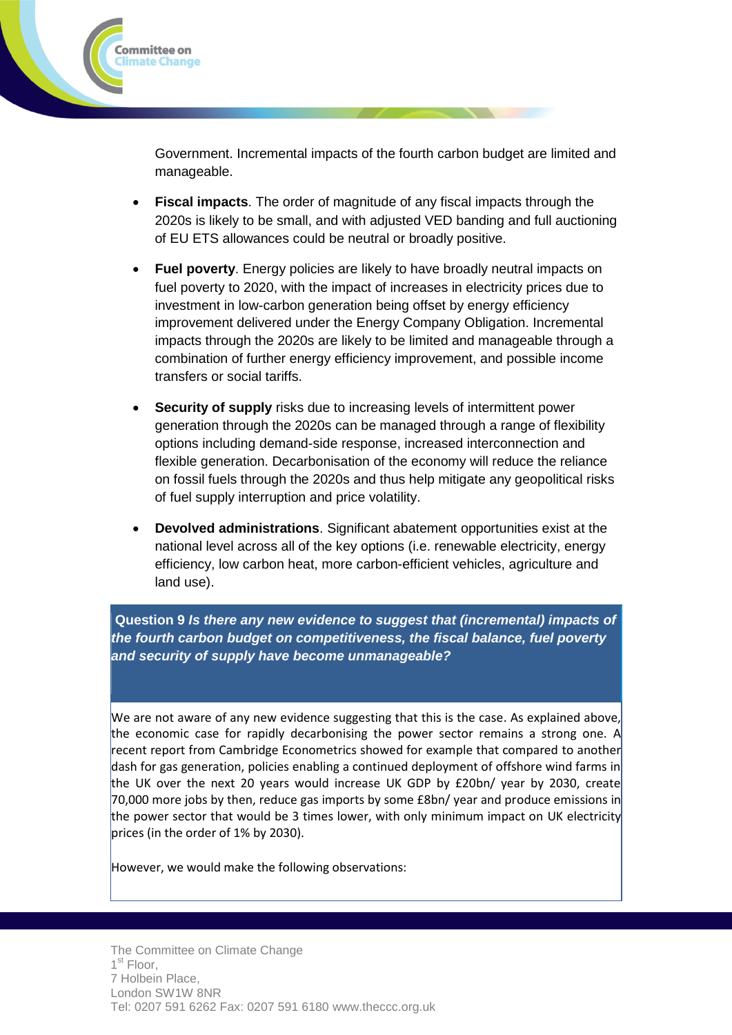

Government. Incremental impacts of the fourth carbon budget are limited and manageable.

- **Fiscal impacts**. The order of magnitude of any fiscal impacts through the 2020s is likely to be small, and with adjusted VED banding and full auctioning of EU ETS allowances could be neutral or broadly positive.
- **Fuel poverty**. Energy policies are likely to have broadly neutral impacts on fuel poverty to 2020, with the impact of increases in electricity prices due to investment in low-carbon generation being offset by energy efficiency improvement delivered under the Energy Company Obligation. Incremental impacts through the 2020s are likely to be limited and manageable through a combination of further energy efficiency improvement, and possible income transfers or social tariffs.
- **Security of supply** risks due to increasing levels of intermittent power generation through the 2020s can be managed through a range of flexibility options including demand-side response, increased interconnection and flexible generation. Decarbonisation of the economy will reduce the reliance on fossil fuels through the 2020s and thus help mitigate any geopolitical risks of fuel supply interruption and price volatility.
- **Devolved administrations**. Significant abatement opportunities exist at the national level across all of the key options (i.e. renewable electricity, energy efficiency, low carbon heat, more carbon-efficient vehicles, agriculture and land use).

**Question 9** *Is there any new evidence to suggest that (incremental) impacts of the fourth carbon budget on competitiveness, the fiscal balance, fuel poverty and security of supply have become unmanageable?*

We are not aware of any new evidence suggesting that this is the case. As explained above, the economic case for rapidly decarbonising the power sector remains a strong one. A recent report from Cambridge Econometrics showed for example that compared to another dash for gas generation, policies enabling a continued deployment of offshore wind farms in the UK over the next 20 years would increase UK GDP by £20bn/ year by 2030, create 70,000 more jobs by then, reduce gas imports by some £8bn/ year and produce emissions in the power sector that would be 3 times lower, with only minimum impact on UK electricity prices (in the order of 1% by 2030).

However, we would make the following observations: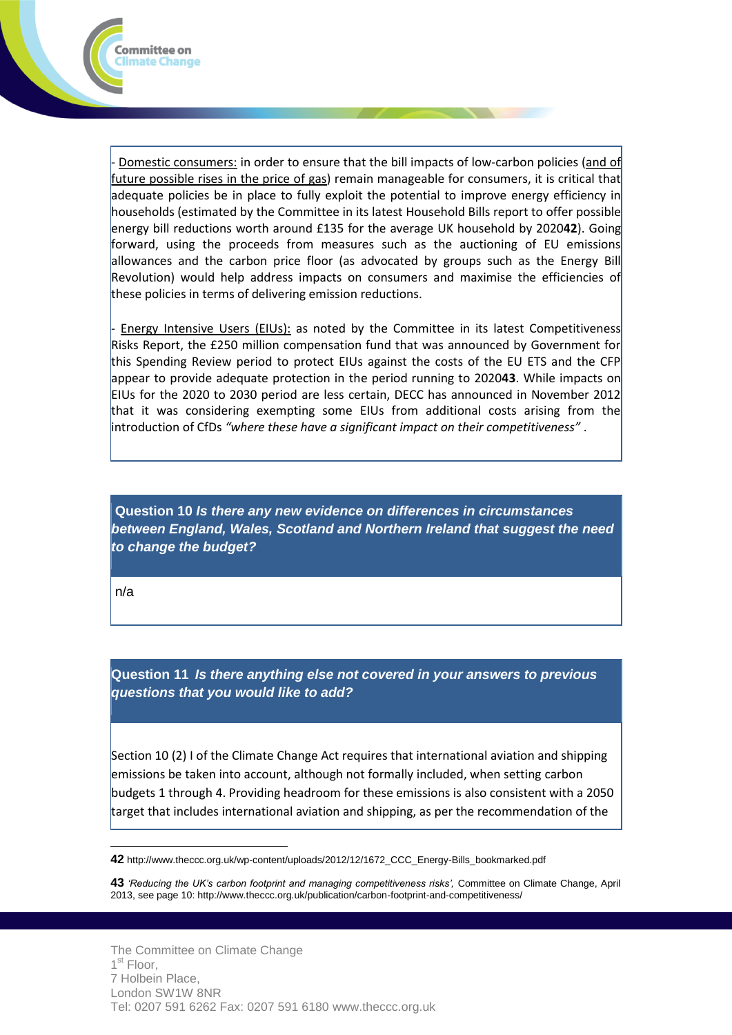

Energy Intensive Users (EIUs): as noted by the Committee in its latest Competitiveness Risks Report, the £250 million compensation fund that was announced by Government for this Spending Review period to protect EIUs against the costs of the EU ETS and the CFP appear to provide adequate protection in the period running to 2020**43**. While impacts on EIUs for the 2020 to 2030 period are less certain, DECC has announced in November 2012 that it was considering exempting some EIUs from additional costs arising from the introduction of CfDs *"where these have a significant impact on their competitiveness"* .

**Question 10** *Is there any new evidence on differences in circumstances between England, Wales, Scotland and Northern Ireland that suggest the need to change the budget?*

n/a

Committee on Climate Change

 $\overline{a}$ 

**Question 11** *Is there anything else not covered in your answers to previous questions that you would like to add?*

Section 10 (2) I of the Climate Change Act requires that international aviation and shipping emissions be taken into account, although not formally included, when setting carbon budgets 1 through 4. Providing headroom for these emissions is also consistent with a 2050 target that includes international aviation and shipping, as per the recommendation of the

**<sup>42</sup>** http://www.theccc.org.uk/wp-content/uploads/2012/12/1672\_CCC\_Energy-Bills\_bookmarked.pdf

**<sup>43</sup>** *'Reducing the UK's carbon footprint and managing competitiveness risks',* Committee on Climate Change, April 2013, see page 10: http://www.theccc.org.uk/publication/carbon-footprint-and-competitiveness/